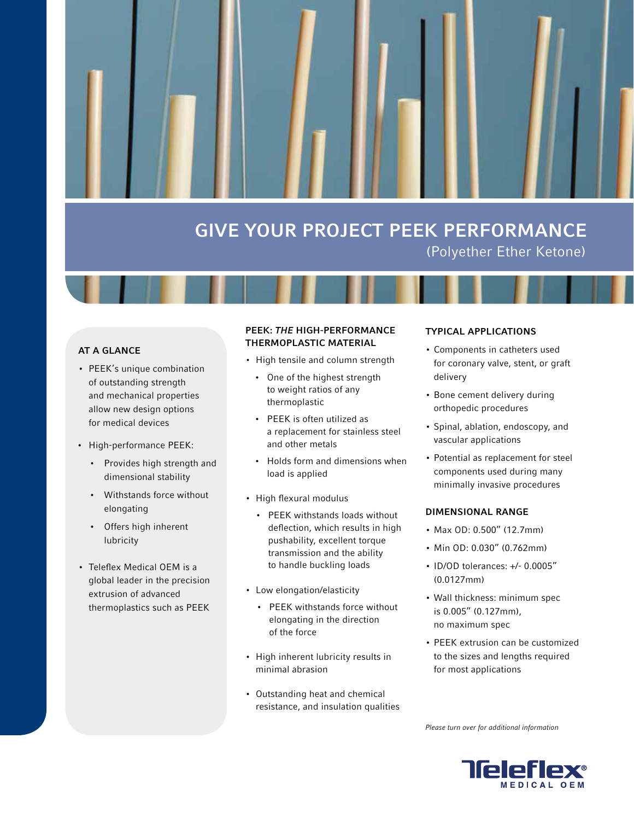# GIVE YOUR PROJECT PEEK PERFORMANCE (Polyether Ether Ketone)

# AT A GLANCE

- PEEK's unique combination of outstanding strength and mechanical properties allow new design options for medical devices
- • High-performance PEEK:
	- • Provides high strength and dimensional stability
	- Withstands force without elongating
	- • Offers high inherent lubricity
- Teleflex Medical OEM is a global leader in the precision extrusion of advanced thermoplastics such as PEEK

# PEEK: THE HIGH-PERFORMANCE THERMOPLASTIC MATERIAL

- High tensile and column strength
	- One of the highest strength to weight ratios of any thermoplastic
	- • PEEK is often utilized as a replacement for stainless steel and other metals
	- • Holds form and dimensions when load is applied
- • High flexural modulus
	- • PEEK withstands loads without deflection, which results in high pushability, excellent torque transmission and the ability to handle buckling loads
- • Low elongation/elasticity
	- • PEEK withstands force without elongating in the direction of the force
- • High inherent lubricity results in minimal abrasion
- • Outstanding heat and chemical resistance, and insulation qualities

### TYPICAL APPLICATIONS

- • Components in catheters used for coronary valve, stent, or graft delivery
- Bone cement delivery during orthopedic procedures
- • Spinal, ablation, endoscopy, and vascular applications
- Potential as replacement for steel components used during many minimally invasive procedures

### DIMENSIONAL RANGE

- • Max OD: 0.500" (12.7mm)
- • Min OD: 0.030" (0.762mm)
- • ID/OD tolerances: +/- 0.0005" (0.0127mm)
- • Wall thickness: minimum spec is 0.005" (0.127mm), no maximum spec
- PEEK extrusion can be customized to the sizes and lengths required for most applications

Please turn over for additional information